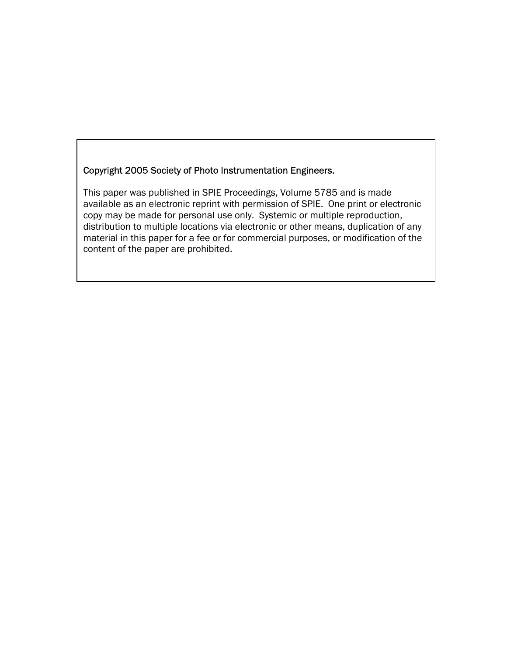# Copyright 2005 Society of Photo Instrumentation Engineers.

This paper was published in SPIE Proceedings, Volume 5785 and is made available as an electronic reprint with permission of SPIE. One print or electronic copy may be made for personal use only. Systemic or multiple reproduction, distribution to multiple locations via electronic or other means, duplication of any material in this paper for a fee or for commercial purposes, or modification of the content of the paper are prohibited.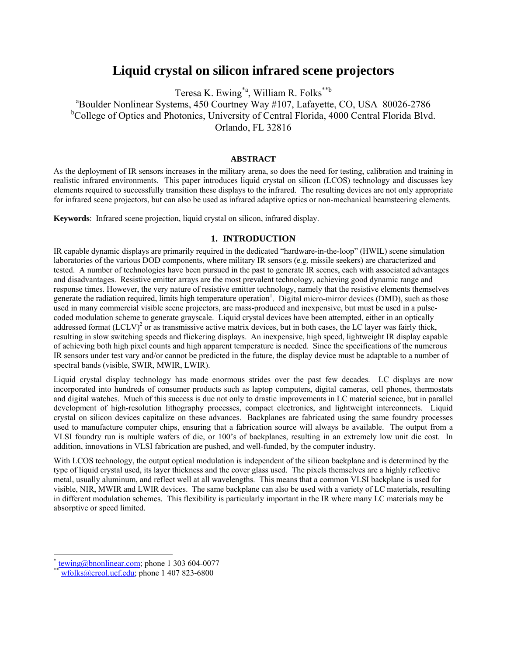# **Liquid crystal on silicon infrared scene projectors**

Teresa K. Ewing\*a , William R. Folks\*\*b

Teresa K. Ewing<sup>\*a</sup>, William R. Folks<sup>\*\*b</sup><br><sup>a</sup>Boulder Nonlinear Systems, 450 Courtney Way #107, Lafayette, CO, USA 80026-2786<sup>a</sup> <sup>b</sup>College of Optics and Photonics, University of Central Florida, 4000 Central Florida Blvd.

Orlando, FL 32816

### **ABSTRACT**

As the deployment of IR sensors increases in the military arena, so does the need for testing, calibration and training in realistic infrared environments. This paper introduces liquid crystal on silicon (LCOS) technology and discusses key elements required to successfully transition these displays to the infrared. The resulting devices are not only appropriate for infrared scene projectors, but can also be used as infrared adaptive optics or non-mechanical beamsteering elements.

**Keywords**: Infrared scene projection, liquid crystal on silicon, infrared display.

# **1. INTRODUCTION**

IR capable dynamic displays are primarily required in the dedicated "hardware-in-the-loop" (HWIL) scene simulation laboratories of the various DOD components, where military IR sensors (e.g. missile seekers) are characterized and tested. A number of technologies have been pursued in the past to generate IR scenes, each with associated advantages and disadvantages. Resistive emitter arrays are the most prevalent technology, achieving good dynamic range and response times. However, the very nature of resistive emitter technology, namely that the resistive elements themselves generate the radiation required, limits high temperature operation<sup>1</sup>. Digital micro-mirror devices (DMD), such as those used in many commercial visible scene projectors, are mass-produced and inexpensive, but must be used in a pulsecoded modulation scheme to generate grayscale. Liquid crystal devices have been attempted, either in an optically addressed format  $(LCLV)^2$  or as transmissive active matrix devices, but in both cases, the LC layer was fairly thick, resulting in slow switching speeds and flickering displays. An inexpensive, high speed, lightweight IR display capable of achieving both high pixel counts and high apparent temperature is needed. Since the specifications of the numerous IR sensors under test vary and/or cannot be predicted in the future, the display device must be adaptable to a number of spectral bands (visible, SWIR, MWIR, LWIR).

Liquid crystal display technology has made enormous strides over the past few decades. LC displays are now incorporated into hundreds of consumer products such as laptop computers, digital cameras, cell phones, thermostats and digital watches. Much of this success is due not only to drastic improvements in LC material science, but in parallel development of high-resolution lithography processes, compact electronics, and lightweight interconnects. Liquid crystal on silicon devices capitalize on these advances. Backplanes are fabricated using the same foundry processes used to manufacture computer chips, ensuring that a fabrication source will always be available. The output from a VLSI foundry run is multiple wafers of die, or 100's of backplanes, resulting in an extremely low unit die cost. In addition, innovations in VLSI fabrication are pushed, and well-funded, by the computer industry.

With LCOS technology, the output optical modulation is independent of the silicon backplane and is determined by the type of liquid crystal used, its layer thickness and the cover glass used. The pixels themselves are a highly reflective metal, usually aluminum, and reflect well at all wavelengths. This means that a common VLSI backplane is used for visible, NIR, MWIR and LWIR devices. The same backplane can also be used with a variety of LC materials, resulting in different modulation schemes. This flexibility is particularly important in the IR where many LC materials may be absorptive or speed limited.

l

 $tewing@bonolinear.com; phone 1 303 604-0077$ <br> $volks@creol.ucf.edu; phone 1 407 823-6800$ </u></u>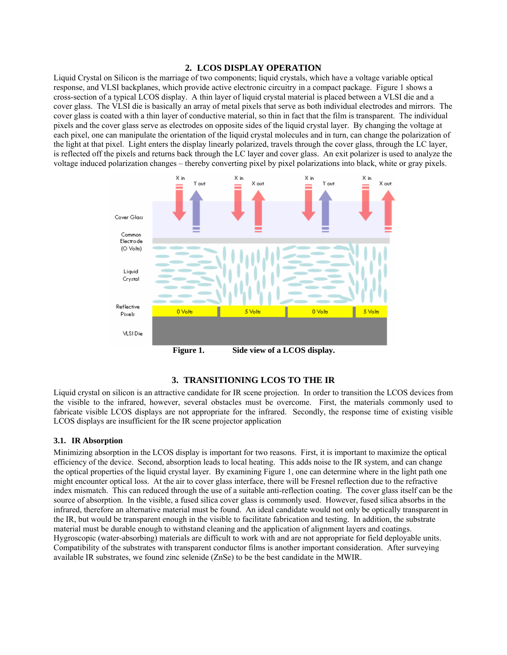# **2. LCOS DISPLAY OPERATION**

Liquid Crystal on Silicon is the marriage of two components; liquid crystals, which have a voltage variable optical response, and VLSI backplanes, which provide active electronic circuitry in a compact package. Figure 1 shows a cross-section of a typical LCOS display. A thin layer of liquid crystal material is placed between a VLSI die and a cover glass. The VLSI die is basically an array of metal pixels that serve as both individual electrodes and mirrors. The cover glass is coated with a thin layer of conductive material, so thin in fact that the film is transparent. The individual pixels and the cover glass serve as electrodes on opposite sides of the liquid crystal layer. By changing the voltage at each pixel, one can manipulate the orientation of the liquid crystal molecules and in turn, can change the polarization of the light at that pixel. Light enters the display linearly polarized, travels through the cover glass, through the LC layer, is reflected off the pixels and returns back through the LC layer and cover glass. An exit polarizer is used to analyze the voltage induced polarization changes – thereby converting pixel by pixel polarizations into black, white or gray pixels.



**Figure 1. Side view of a LCOS display.**

# **3. TRANSITIONING LCOS TO THE IR**

Liquid crystal on silicon is an attractive candidate for IR scene projection. In order to transition the LCOS devices from the visible to the infrared, however, several obstacles must be overcome. First, the materials commonly used to fabricate visible LCOS displays are not appropriate for the infrared. Secondly, the response time of existing visible LCOS displays are insufficient for the IR scene projector application

# **3.1. IR Absorption**

Minimizing absorption in the LCOS display is important for two reasons. First, it is important to maximize the optical efficiency of the device. Second, absorption leads to local heating. This adds noise to the IR system, and can change the optical properties of the liquid crystal layer. By examining Figure 1, one can determine where in the light path one might encounter optical loss. At the air to cover glass interface, there will be Fresnel reflection due to the refractive index mismatch. This can reduced through the use of a suitable anti-reflection coating. The cover glass itself can be the source of absorption. In the visible, a fused silica cover glass is commonly used. However, fused silica absorbs in the infrared, therefore an alternative material must be found. An ideal candidate would not only be optically transparent in the IR, but would be transparent enough in the visible to facilitate fabrication and testing. In addition, the substrate material must be durable enough to withstand cleaning and the application of alignment layers and coatings. Hygroscopic (water-absorbing) materials are difficult to work with and are not appropriate for field deployable units. Compatibility of the substrates with transparent conductor films is another important consideration. After surveying available IR substrates, we found zinc selenide (ZnSe) to be the best candidate in the MWIR.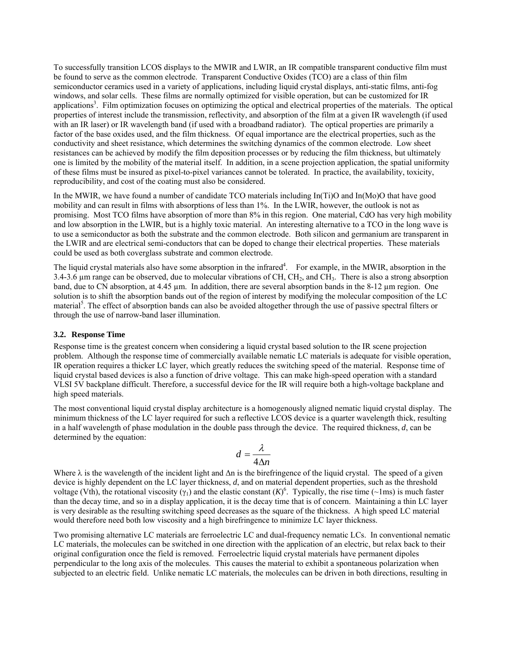To successfully transition LCOS displays to the MWIR and LWIR, an IR compatible transparent conductive film must be found to serve as the common electrode. Transparent Conductive Oxides (TCO) are a class of thin film semiconductor ceramics used in a variety of applications, including liquid crystal displays, anti-static films, anti-fog windows, and solar cells. These films are normally optimized for visible operation, but can be customized for IR applications<sup>3</sup>. Film optimization focuses on optimizing the optical and electrical properties of the materials. The optical properties of interest include the transmission, reflectivity, and absorption of the film at a given IR wavelength (if used with an IR laser) or IR wavelength band (if used with a broadband radiator). The optical properties are primarily a factor of the base oxides used, and the film thickness. Of equal importance are the electrical properties, such as the conductivity and sheet resistance, which determines the switching dynamics of the common electrode. Low sheet resistances can be achieved by modify the film deposition processes or by reducing the film thickness, but ultimately one is limited by the mobility of the material itself. In addition, in a scene projection application, the spatial uniformity of these films must be insured as pixel-to-pixel variances cannot be tolerated. In practice, the availability, toxicity, reproducibility, and cost of the coating must also be considered.

In the MWIR, we have found a number of candidate TCO materials including In(Ti)O and In(Mo)O that have good mobility and can result in films with absorptions of less than 1%. In the LWIR, however, the outlook is not as promising. Most TCO films have absorption of more than 8% in this region. One material, CdO has very high mobility and low absorption in the LWIR, but is a highly toxic material. An interesting alternative to a TCO in the long wave is to use a semiconductor as both the substrate and the common electrode. Both silicon and germanium are transparent in the LWIR and are electrical semi-conductors that can be doped to change their electrical properties. These materials could be used as both coverglass substrate and common electrode.

The liquid crystal materials also have some absorption in the infrared<sup>4</sup>. For example, in the MWIR, absorption in the  $3.4-3.6$  µm range can be observed, due to molecular vibrations of CH, CH<sub>2</sub>, and CH<sub>3</sub>. There is also a strong absorption band, due to CN absorption, at 4.45 µm. In addition, there are several absorption bands in the 8-12 µm region. One solution is to shift the absorption bands out of the region of interest by modifying the molecular composition of the LC material<sup>5</sup>. The effect of absorption bands can also be avoided altogether through the use of passive spectral filters or through the use of narrow-band laser illumination.

#### **3.2. Response Time**

Response time is the greatest concern when considering a liquid crystal based solution to the IR scene projection problem. Although the response time of commercially available nematic LC materials is adequate for visible operation, IR operation requires a thicker LC layer, which greatly reduces the switching speed of the material. Response time of liquid crystal based devices is also a function of drive voltage. This can make high-speed operation with a standard VLSI 5V backplane difficult. Therefore, a successful device for the IR will require both a high-voltage backplane and high speed materials.

The most conventional liquid crystal display architecture is a homogenously aligned nematic liquid crystal display. The minimum thickness of the LC layer required for such a reflective LCOS device is a quarter wavelength thick, resulting in a half wavelength of phase modulation in the double pass through the device. The required thickness, *d*, can be determined by the equation:

$$
d = \frac{\lambda}{4\Delta n}
$$

Where  $\lambda$  is the wavelength of the incident light and  $\Delta n$  is the birefringence of the liquid crystal. The speed of a given device is highly dependent on the LC layer thickness, *d*, and on material dependent properties, such as the threshold voltage (Vth), the rotational viscosity  $(\gamma_1)$  and the elastic constant  $(K)^6$ . Typically, the rise time (~1ms) is much faster than the decay time, and so in a display application, it is the decay time that is of concern. Maintaining a thin LC layer is very desirable as the resulting switching speed decreases as the square of the thickness. A high speed LC material would therefore need both low viscosity and a high birefringence to minimize LC layer thickness.

Two promising alternative LC materials are ferroelectric LC and dual-frequency nematic LCs. In conventional nematic LC materials, the molecules can be switched in one direction with the application of an electric, but relax back to their original configuration once the field is removed. Ferroelectric liquid crystal materials have permanent dipoles perpendicular to the long axis of the molecules. This causes the material to exhibit a spontaneous polarization when subjected to an electric field. Unlike nematic LC materials, the molecules can be driven in both directions, resulting in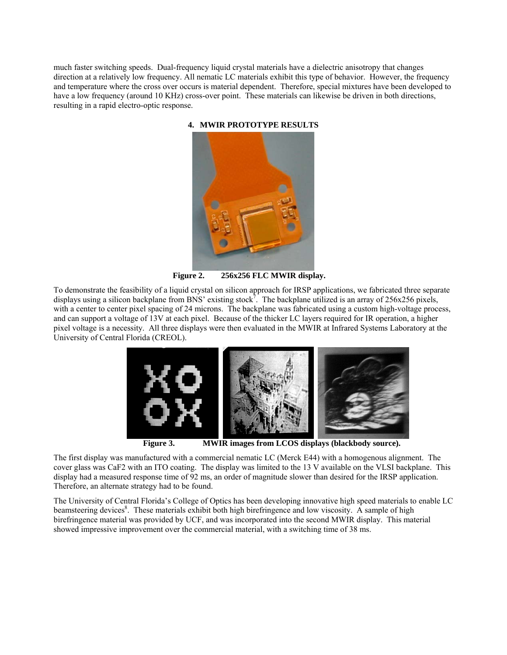much faster switching speeds. Dual-frequency liquid crystal materials have a dielectric anisotropy that changes direction at a relatively low frequency. All nematic LC materials exhibit this type of behavior. However, the frequency and temperature where the cross over occurs is material dependent. Therefore, special mixtures have been developed to have a low frequency (around 10 KHz) cross-over point. These materials can likewise be driven in both directions, resulting in a rapid electro-optic response.



# **4. MWIR PROTOTYPE RESULTS**

**Figure 2. 256x256 FLC MWIR display.** 

To demonstrate the feasibility of a liquid crystal on silicon approach for IRSP applications, we fabricated three separate displays using a silicon backplane from BNS' existing stock<sup>7</sup>. The backplane utilized is an array of 256x256 pixels, with a center to center pixel spacing of 24 microns. The backplane was fabricated using a custom high-voltage process, and can support a voltage of 13V at each pixel. Because of the thicker LC layers required for IR operation, a higher pixel voltage is a necessity. All three displays were then evaluated in the MWIR at Infrared Systems Laboratory at the University of Central Florida (CREOL).



 **Figure 3. MWIR images from LCOS displays (blackbody source).** 

The first display was manufactured with a commercial nematic LC (Merck E44) with a homogenous alignment. The cover glass was CaF2 with an ITO coating. The display was limited to the 13 V available on the VLSI backplane. This display had a measured response time of 92 ms, an order of magnitude slower than desired for the IRSP application. Therefore, an alternate strategy had to be found.

The University of Central Florida's College of Optics has been developing innovative high speed materials to enable LC beamsteering devices<sup>8</sup>. These materials exhibit both high birefringence and low viscosity. A sample of high birefringence material was provided by UCF, and was incorporated into the second MWIR display. This material showed impressive improvement over the commercial material, with a switching time of 38 ms.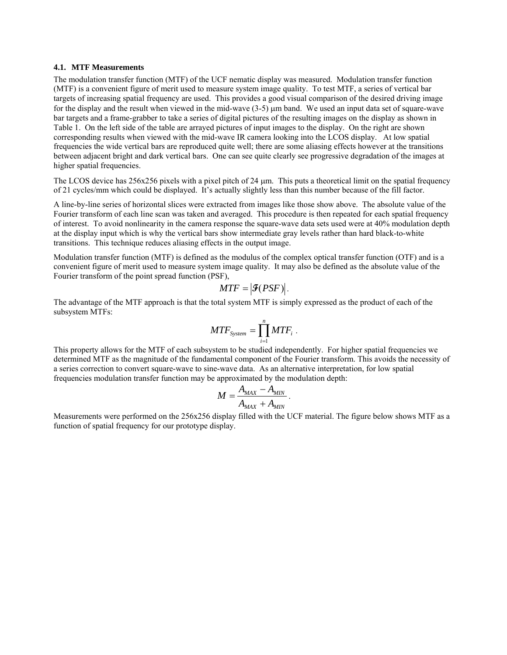#### **4.1. MTF Measurements**

The modulation transfer function (MTF) of the UCF nematic display was measured. Modulation transfer function (MTF) is a convenient figure of merit used to measure system image quality. To test MTF, a series of vertical bar targets of increasing spatial frequency are used. This provides a good visual comparison of the desired driving image for the display and the result when viewed in the mid-wave (3-5) µm band. We used an input data set of square-wave bar targets and a frame-grabber to take a series of digital pictures of the resulting images on the display as shown in Table 1. On the left side of the table are arrayed pictures of input images to the display. On the right are shown corresponding results when viewed with the mid-wave IR camera looking into the LCOS display. At low spatial frequencies the wide vertical bars are reproduced quite well; there are some aliasing effects however at the transitions between adjacent bright and dark vertical bars. One can see quite clearly see progressive degradation of the images at higher spatial frequencies.

The LCOS device has  $256x256$  pixels with a pixel pitch of  $24 \mu m$ . This puts a theoretical limit on the spatial frequency of 21 cycles/mm which could be displayed. It's actually slightly less than this number because of the fill factor.

A line-by-line series of horizontal slices were extracted from images like those show above. The absolute value of the Fourier transform of each line scan was taken and averaged. This procedure is then repeated for each spatial frequency of interest. To avoid nonlinearity in the camera response the square-wave data sets used were at 40% modulation depth at the display input which is why the vertical bars show intermediate gray levels rather than hard black-to-white transitions. This technique reduces aliasing effects in the output image.

Modulation transfer function (MTF) is defined as the modulus of the complex optical transfer function (OTF) and is a convenient figure of merit used to measure system image quality. It may also be defined as the absolute value of the Fourier transform of the point spread function (PSF),

$$
MTF = |\mathcal{F}(PSF)|
$$

The advantage of the MTF approach is that the total system MTF is simply expressed as the product of each of the subsystem MTFs:

$$
MTF_{System} = \prod_{i=1}^{n} MTF_i .
$$

This property allows for the MTF of each subsystem to be studied independently. For higher spatial frequencies we determined MTF as the magnitude of the fundamental component of the Fourier transform. This avoids the necessity of a series correction to convert square-wave to sine-wave data. As an alternative interpretation, for low spatial frequencies modulation transfer function may be approximated by the modulation depth:

$$
M = \frac{A_{MAX} - A_{MIN}}{A_{MAX} + A_{MIN}}.
$$

Measurements were performed on the 256x256 display filled with the UCF material. The figure below shows MTF as a function of spatial frequency for our prototype display.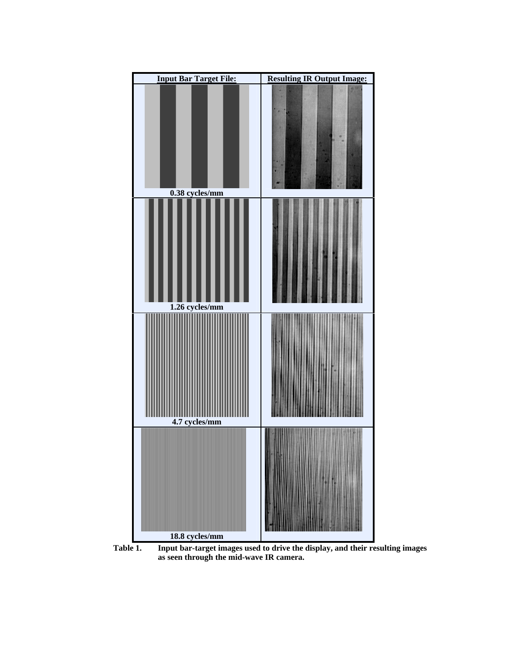

**Table 1. Input bar-target images used to drive the display, and their resulting images as seen through the mid-wave IR camera.**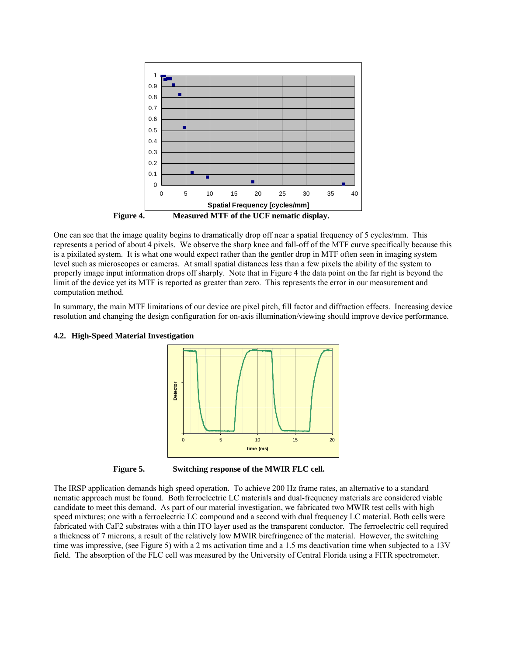

One can see that the image quality begins to dramatically drop off near a spatial frequency of 5 cycles/mm. This represents a period of about 4 pixels. We observe the sharp knee and fall-off of the MTF curve specifically because this is a pixilated system. It is what one would expect rather than the gentler drop in MTF often seen in imaging system level such as microscopes or cameras. At small spatial distances less than a few pixels the ability of the system to properly image input information drops off sharply. Note that in Figure 4 the data point on the far right is beyond the limit of the device yet its MTF is reported as greater than zero. This represents the error in our measurement and computation method.

In summary, the main MTF limitations of our device are pixel pitch, fill factor and diffraction effects. Increasing device resolution and changing the design configuration for on-axis illumination/viewing should improve device performance.



# **4.2. High-Speed Material Investigation**

**Figure 5. Switching response of the MWIR FLC cell.** 

The IRSP application demands high speed operation. To achieve 200 Hz frame rates, an alternative to a standard nematic approach must be found. Both ferroelectric LC materials and dual-frequency materials are considered viable candidate to meet this demand. As part of our material investigation, we fabricated two MWIR test cells with high speed mixtures; one with a ferroelectric LC compound and a second with dual frequency LC material. Both cells were fabricated with CaF2 substrates with a thin ITO layer used as the transparent conductor. The ferroelectric cell required a thickness of 7 microns, a result of the relatively low MWIR birefringence of the material. However, the switching time was impressive, (see Figure 5) with a 2 ms activation time and a 1.5 ms deactivation time when subjected to a 13V field. The absorption of the FLC cell was measured by the University of Central Florida using a FITR spectrometer.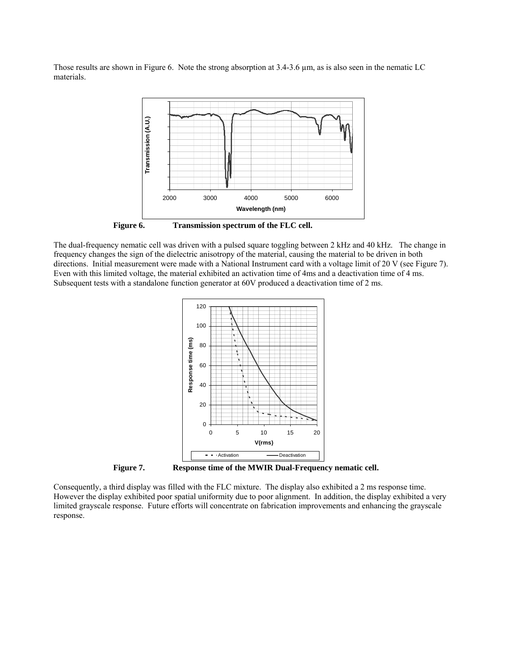Those results are shown in Figure 6. Note the strong absorption at 3.4-3.6 µm, as is also seen in the nematic LC materials.



The dual-frequency nematic cell was driven with a pulsed square toggling between 2 kHz and 40 kHz. The change in frequency changes the sign of the dielectric anisotropy of the material, causing the material to be driven in both directions. Initial measurement were made with a National Instrument card with a voltage limit of 20 V (see Figure 7). Even with this limited voltage, the material exhibited an activation time of 4ms and a deactivation time of 4 ms. Subsequent tests with a standalone function generator at 60V produced a deactivation time of 2 ms.



**Figure 7. Response time of the MWIR Dual-Frequency nematic cell.** 

Consequently, a third display was filled with the FLC mixture. The display also exhibited a 2 ms response time. However the display exhibited poor spatial uniformity due to poor alignment. In addition, the display exhibited a very limited grayscale response. Future efforts will concentrate on fabrication improvements and enhancing the grayscale response.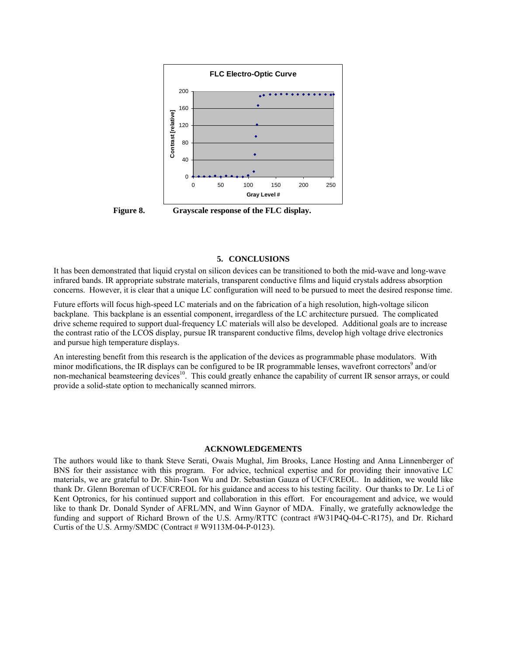

**Figure 8. Grayscale response of the FLC display.** 

#### **5. CONCLUSIONS**

It has been demonstrated that liquid crystal on silicon devices can be transitioned to both the mid-wave and long-wave infrared bands. IR appropriate substrate materials, transparent conductive films and liquid crystals address absorption concerns. However, it is clear that a unique LC configuration will need to be pursued to meet the desired response time.

Future efforts will focus high-speed LC materials and on the fabrication of a high resolution, high-voltage silicon backplane. This backplane is an essential component, irregardless of the LC architecture pursued. The complicated drive scheme required to support dual-frequency LC materials will also be developed. Additional goals are to increase the contrast ratio of the LCOS display, pursue IR transparent conductive films, develop high voltage drive electronics and pursue high temperature displays.

An interesting benefit from this research is the application of the devices as programmable phase modulators. With minor modifications, the IR displays can be configured to be IR programmable lenses, wavefront correctors<sup>9</sup> and/or non-mechanical beamsteering devices<sup>10</sup>. This could greatly enhance the capability of current IR sensor arrays, or could provide a solid-state option to mechanically scanned mirrors.

#### **ACKNOWLEDGEMENTS**

The authors would like to thank Steve Serati, Owais Mughal, Jim Brooks, Lance Hosting and Anna Linnenberger of BNS for their assistance with this program. For advice, technical expertise and for providing their innovative LC materials, we are grateful to Dr. Shin-Tson Wu and Dr. Sebastian Gauza of UCF/CREOL. In addition, we would like thank Dr. Glenn Boreman of UCF/CREOL for his guidance and access to his testing facility. Our thanks to Dr. Le Li of Kent Optronics, for his continued support and collaboration in this effort. For encouragement and advice, we would like to thank Dr. Donald Synder of AFRL/MN, and Winn Gaynor of MDA. Finally, we gratefully acknowledge the funding and support of Richard Brown of the U.S. Army/RTTC (contract #W31P4Q-04-C-R175), and Dr. Richard Curtis of the U.S. Army/SMDC (Contract # W9113M-04-P-0123).